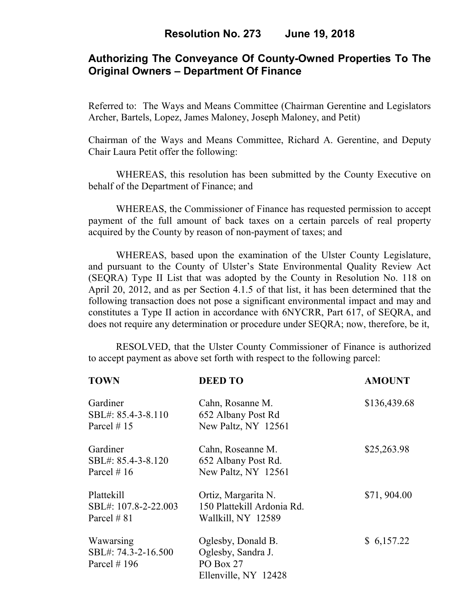# **Authorizing The Conveyance Of County-Owned Properties To The Original Owners – Department Of Finance**

Referred to: The Ways and Means Committee (Chairman Gerentine and Legislators Archer, Bartels, Lopez, James Maloney, Joseph Maloney, and Petit)

Chairman of the Ways and Means Committee, Richard A. Gerentine, and Deputy Chair Laura Petit offer the following:

WHEREAS, this resolution has been submitted by the County Executive on behalf of the Department of Finance; and

 WHEREAS, the Commissioner of Finance has requested permission to accept payment of the full amount of back taxes on a certain parcels of real property acquired by the County by reason of non-payment of taxes; and

WHEREAS, based upon the examination of the Ulster County Legislature, and pursuant to the County of Ulster's State Environmental Quality Review Act (SEQRA) Type II List that was adopted by the County in Resolution No. 118 on April 20, 2012, and as per Section 4.1.5 of that list, it has been determined that the following transaction does not pose a significant environmental impact and may and constitutes a Type II action in accordance with 6NYCRR, Part 617, of SEQRA, and does not require any determination or procedure under SEQRA; now, therefore, be it,

 RESOLVED, that the Ulster County Commissioner of Finance is authorized to accept payment as above set forth with respect to the following parcel:

| <b>TOWN</b>                                       | <b>DEED TO</b>                                                                | <b>AMOUNT</b> |
|---------------------------------------------------|-------------------------------------------------------------------------------|---------------|
| Gardiner<br>SBL#: 85.4-3-8.110<br>Parcel #15      | Cahn, Rosanne M.<br>652 Albany Post Rd<br>New Paltz, NY 12561                 | \$136,439.68  |
| Gardiner<br>SBL#: 85.4-3-8.120<br>Parcel # $16$   | Cahn, Roseanne M.<br>652 Albany Post Rd.<br>New Paltz, NY 12561               | \$25,263.98   |
| Plattekill<br>SBL#: 107.8-2-22.003<br>Parcel # 81 | Ortiz, Margarita N.<br>150 Plattekill Ardonia Rd.<br>Wallkill, NY 12589       | \$71,904.00   |
| Wawarsing<br>SBL#: 74.3-2-16.500<br>Parcel $#196$ | Oglesby, Donald B.<br>Oglesby, Sandra J.<br>PO Box 27<br>Ellenville, NY 12428 | \$6,157.22    |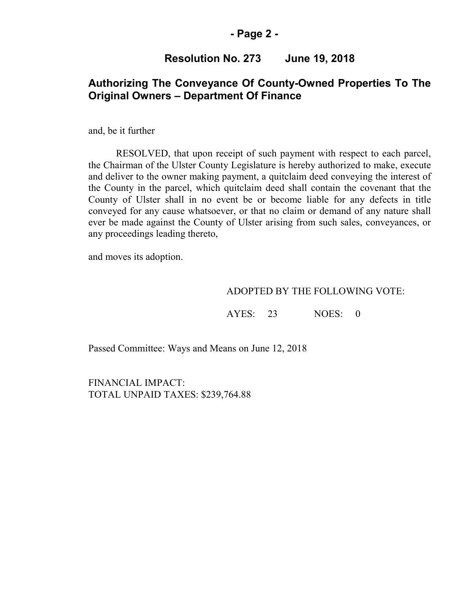## **- Page 2 -**

## **Resolution No. 273 June 19, 2018**

## **Authorizing The Conveyance Of County-Owned Properties To The Original Owners – Department Of Finance**

and, be it further

RESOLVED, that upon receipt of such payment with respect to each parcel, the Chairman of the Ulster County Legislature is hereby authorized to make, execute and deliver to the owner making payment, a quitclaim deed conveying the interest of the County in the parcel, which quitclaim deed shall contain the covenant that the County of Ulster shall in no event be or become liable for any defects in title conveyed for any cause whatsoever, or that no claim or demand of any nature shall ever be made against the County of Ulster arising from such sales, conveyances, or any proceedings leading thereto,

and moves its adoption.

#### ADOPTED BY THE FOLLOWING VOTE:

AYES: 23 NOES: 0

Passed Committee: Ways and Means on June 12, 2018

FINANCIAL IMPACT: TOTAL UNPAID TAXES: \$239,764.88